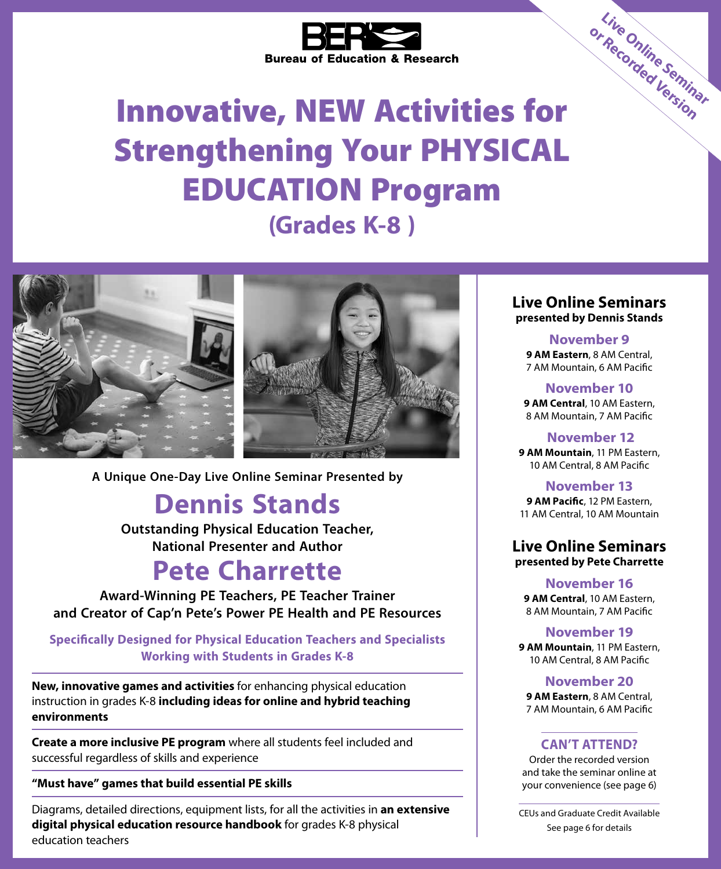

# Innovative, NEW Activities for Strengthening Your PHYSICAL EDUCATION Program **(Grades K-8 )**



**A Unique One-Day Live Online Seminar Presented by**

## **Dennis Stands**

**Outstanding Physical Education Teacher, National Presenter and Author**

## **Pete Charrette**

**Award-Winning PE Teachers, PE Teacher Trainer and Creator of Cap'n Pete's Power PE Health and PE Resources**

**Specifically Designed for Physical Education Teachers and Specialists Working with Students in Grades K-8**

**New, innovative games and activities** for enhancing physical education instruction in grades K-8 **including ideas for online and hybrid teaching environments**

**Create a more inclusive PE program** where all students feel included and successful regardless of skills and experience

#### **"Must have" games that build essential PE skills**

Diagrams, detailed directions, equipment lists, for all the activities in **an extensive digital physical education resource handbook** for grades K-8 physical education teachers

**Live Online Seminars presented by Dennis Stands**

**Live Online Seminar or Recorded Version**

**November 9 9 AM Eastern**, 8 AM Central, 7 AM Mountain, 6 AM Pacific

**November 10 9 AM Central**, 10 AM Eastern, 8 AM Mountain, 7 AM Pacific

 **November 12 9 AM Mountain**, 11 PM Eastern, 10 AM Central, 8 AM Pacific

**November 13 9 AM Pacific**, 12 PM Eastern, 11 AM Central, 10 AM Mountain

#### **Live Online Seminars presented by Pete Charrette**

**November 16 9 AM Central**, 10 AM Eastern, 8 AM Mountain, 7 AM Pacific

**November 19 9 AM Mountain**, 11 PM Eastern, 10 AM Central, 8 AM Pacific

#### **November 20**

**9 AM Eastern**, 8 AM Central, 7 AM Mountain, 6 AM Pacific

#### **CAN'T ATTEND?**

Order the recorded version and take the seminar online at your convenience (see page 6)

CEUs and Graduate Credit Available See page 6 for details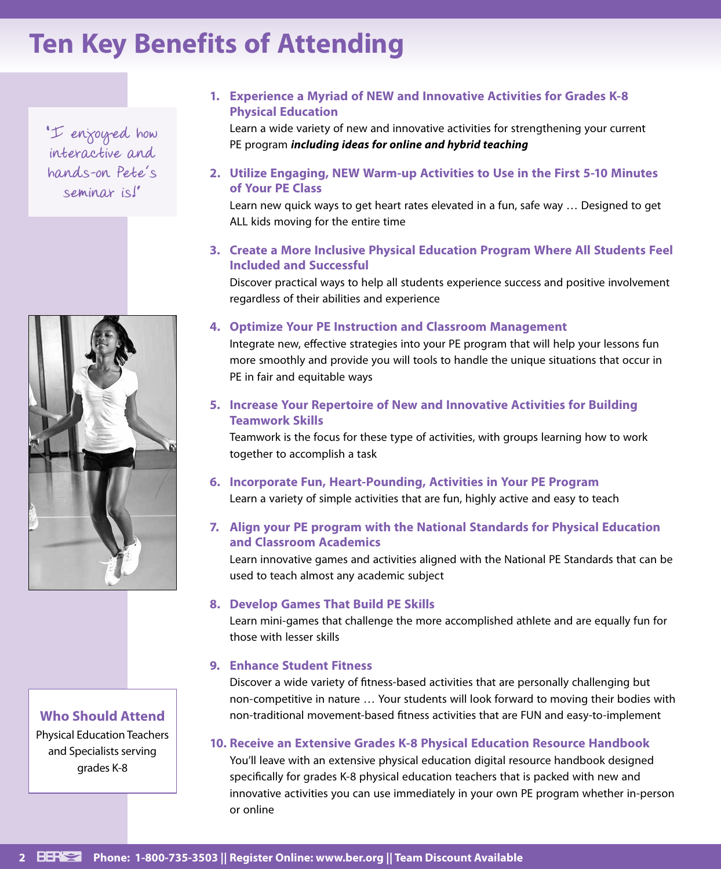# **Ten Key Benefits of Attending**

**"I enjoyed how interactive and hands-on Pete's seminar is!"**



**Who Should Attend** Physical Education Teachers and Specialists serving grades K-8

#### **1. Experience a Myriad of NEW and Innovative Activities for Grades K-8 Physical Education**

Learn a wide variety of new and innovative activities for strengthening your current PE program *including ideas for online and hybrid teaching*

#### **2. Utilize Engaging, NEW Warm-up Activities to Use in the First 5-10 Minutes of Your PE Class**

Learn new quick ways to get heart rates elevated in a fun, safe way … Designed to get ALL kids moving for the entire time

**3. Create a More Inclusive Physical Education Program Where All Students Feel Included and Successful**

Discover practical ways to help all students experience success and positive involvement regardless of their abilities and experience

#### **4. Optimize Your PE Instruction and Classroom Management**

Integrate new, effective strategies into your PE program that will help your lessons fun more smoothly and provide you will tools to handle the unique situations that occur in PE in fair and equitable ways

#### **5. Increase Your Repertoire of New and Innovative Activities for Building Teamwork Skills**

Teamwork is the focus for these type of activities, with groups learning how to work together to accomplish a task

## **6. Incorporate Fun, Heart-Pounding, Activities in Your PE Program**

Learn a variety of simple activities that are fun, highly active and easy to teach

#### **7. Align your PE program with the National Standards for Physical Education and Classroom Academics**

Learn innovative games and activities aligned with the National PE Standards that can be used to teach almost any academic subject

#### **8. Develop Games That Build PE Skills**

Learn mini-games that challenge the more accomplished athlete and are equally fun for those with lesser skills

#### **9. Enhance Student Fitness**

Discover a wide variety of fitness-based activities that are personally challenging but non-competitive in nature … Your students will look forward to moving their bodies with non-traditional movement-based fitness activities that are FUN and easy-to-implement

#### **10. Receive an Extensive Grades K-8 Physical Education Resource Handbook**

You'll leave with an extensive physical education digital resource handbook designed specifically for grades K-8 physical education teachers that is packed with new and innovative activities you can use immediately in your own PE program whether in-person or online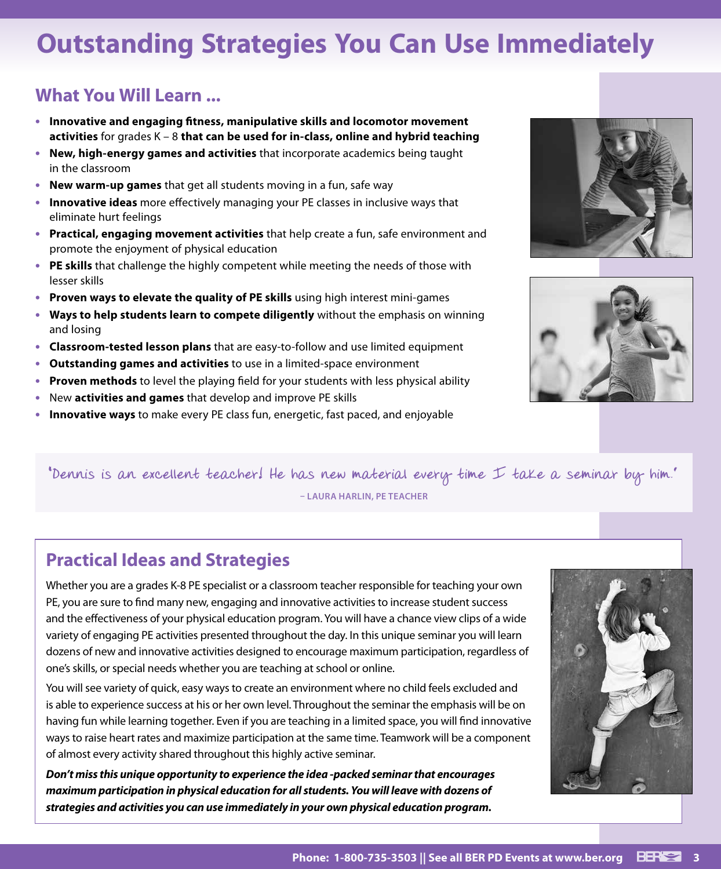# **Outstanding Strategies You Can Use Immediately**

## **What You Will Learn ...**

- **• Innovative and engaging fitness, manipulative skills and locomotor movement activities** for grades K – 8 **that can be used for in-class, online and hybrid teaching**
- **• New, high-energy games and activities** that incorporate academics being taught in the classroom
- **• New warm-up games** that get all students moving in a fun, safe way
- **• Innovative ideas** more effectively managing your PE classes in inclusive ways that eliminate hurt feelings
- **• Practical, engaging movement activities** that help create a fun, safe environment and promote the enjoyment of physical education
- **• PE skills** that challenge the highly competent while meeting the needs of those with lesser skills
- **• Proven ways to elevate the quality of PE skills** using high interest mini-games
- **• Ways to help students learn to compete diligently** without the emphasis on winning and losing
- **• Classroom-tested lesson plans** that are easy-to-follow and use limited equipment
- **• Outstanding games and activities** to use in a limited-space environment
- **• Proven methods** to level the playing field for your students with less physical ability
- **•** New **activities and games** that develop and improve PE skills
- **• Innovative ways** to make every PE class fun, energetic, fast paced, and enjoyable





**"Dennis is an excellent teacher! He has new material every time I take a seminar by him." – LAURA HARLIN, PE TEACHER**

## **Practical Ideas and Strategies**

Whether you are a grades K-8 PE specialist or a classroom teacher responsible for teaching your own PE, you are sure to find many new, engaging and innovative activities to increase student success and the effectiveness of your physical education program. You will have a chance view clips of a wide variety of engaging PE activities presented throughout the day. In this unique seminar you will learn dozens of new and innovative activities designed to encourage maximum participation, regardless of one's skills, or special needs whether you are teaching at school or online.

You will see variety of quick, easy ways to create an environment where no child feels excluded and is able to experience success at his or her own level. Throughout the seminar the emphasis will be on having fun while learning together. Even if you are teaching in a limited space, you will find innovative ways to raise heart rates and maximize participation at the same time. Teamwork will be a component of almost every activity shared throughout this highly active seminar.

*Don't miss this unique opportunity to experience the idea -packed seminar that encourages maximum participation in physical education for all students. You will leave with dozens of strategies and activities you can use immediately in your own physical education program.* 

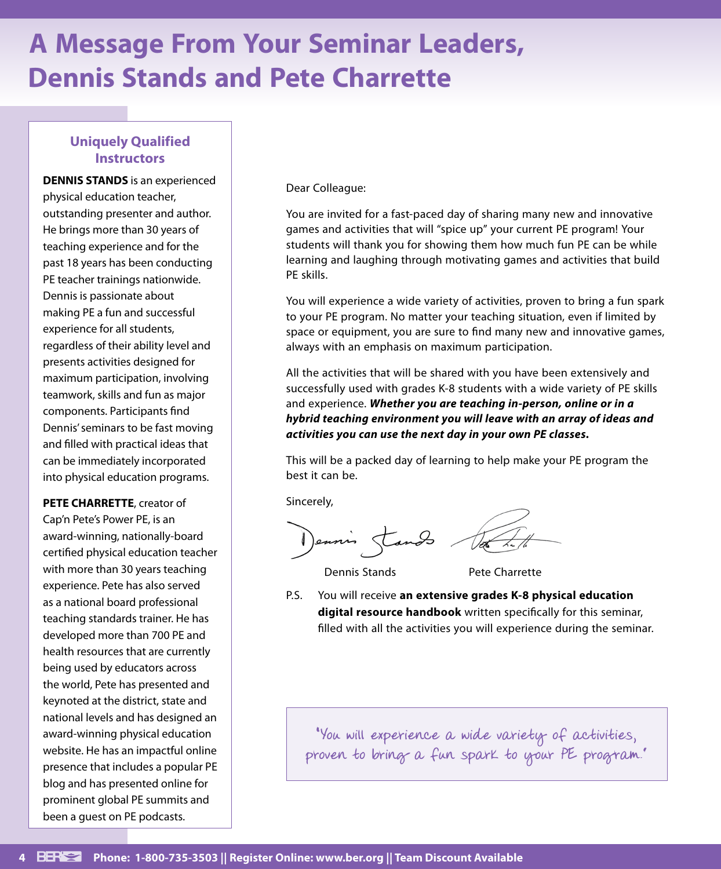# **A Message From Your Seminar Leaders, Dennis Stands and Pete Charrette**

### **Uniquely Qualified Instructors**

**DENNIS STANDS** is an experienced physical education teacher, outstanding presenter and author. He brings more than 30 years of teaching experience and for the past 18 years has been conducting PE teacher trainings nationwide. Dennis is passionate about making PE a fun and successful experience for all students, regardless of their ability level and presents activities designed for maximum participation, involving teamwork, skills and fun as major components. Participants find Dennis' seminars to be fast moving and filled with practical ideas that can be immediately incorporated into physical education programs.

**PETE CHARRETTE**, creator of Cap'n Pete's Power PE, is an award-winning, nationally-board certified physical education teacher with more than 30 years teaching experience. Pete has also served as a national board professional teaching standards trainer. He has developed more than 700 PE and health resources that are currently being used by educators across the world, Pete has presented and keynoted at the district, state and national levels and has designed an award-winning physical education website. He has an impactful online presence that includes a popular PE blog and has presented online for prominent global PE summits and been a guest on PE podcasts.

Dear Colleague:

You are invited for a fast-paced day of sharing many new and innovative games and activities that will "spice up" your current PE program! Your students will thank you for showing them how much fun PE can be while learning and laughing through motivating games and activities that build PE skills.

You will experience a wide variety of activities, proven to bring a fun spark to your PE program. No matter your teaching situation, even if limited by space or equipment, you are sure to find many new and innovative games, always with an emphasis on maximum participation.

All the activities that will be shared with you have been extensively and successfully used with grades K-8 students with a wide variety of PE skills and experience. *Whether you are teaching in-person, online or in a hybrid teaching environment you will leave with an array of ideas and activities you can use the next day in your own PE classes.*

This will be a packed day of learning to help make your PE program the best it can be.

Sincerely,

Dennis Stands

Dennis Stands **Pete Charrette** 

P.S. You will receive **an extensive grades K-8 physical education digital resource handbook** written specifically for this seminar, filled with all the activities you will experience during the seminar.

**"You will experience a wide variety of activities, proven to bring a fun spark to your PE program."**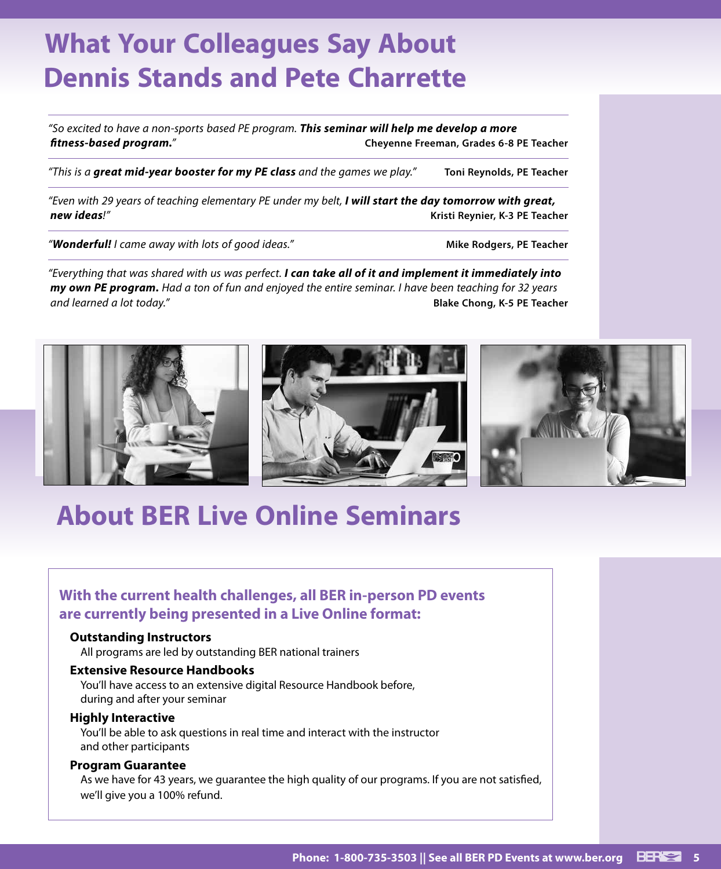# **What Your Colleagues Say About Dennis Stands and Pete Charrette**

*"So excited to have a non-sports based PE program. This seminar will help me develop a more fitness-based program."* **Cheyenne Freeman, Grades 6-8 PE Teacher**

*"This is a great mid-year booster for my PE class and the games we play."* **Toni Reynolds, PE Teacher**

*"Even with 29 years of teaching elementary PE under my belt, I will start the day tomorrow with great, new ideas!"* **Kristi Reynier, K-3 PE Teacher**

*"Wonderful! I came away with lots of good ideas."* **Mike Rodgers, PE Teacher**

*"Everything that was shared with us was perfect. I can take all of it and implement it immediately into my own PE program. Had a ton of fun and enjoyed the entire seminar. I have been teaching for 32 years and learned a lot today."* **Blake Chong, K-5 PE Teacher**



## **About BER Live Online Seminars**

## **With the current health challenges, all BER in-person PD events are currently being presented in a Live Online format:**

#### **Outstanding Instructors**

All programs are led by outstanding BER national trainers

#### **Extensive Resource Handbooks**

You'll have access to an extensive digital Resource Handbook before, during and after your seminar

#### **Highly Interactive**

You'll be able to ask questions in real time and interact with the instructor and other participants

#### **Program Guarantee**

As we have for 43 years, we guarantee the high quality of our programs. If you are not satisfied, we'll give you a 100% refund.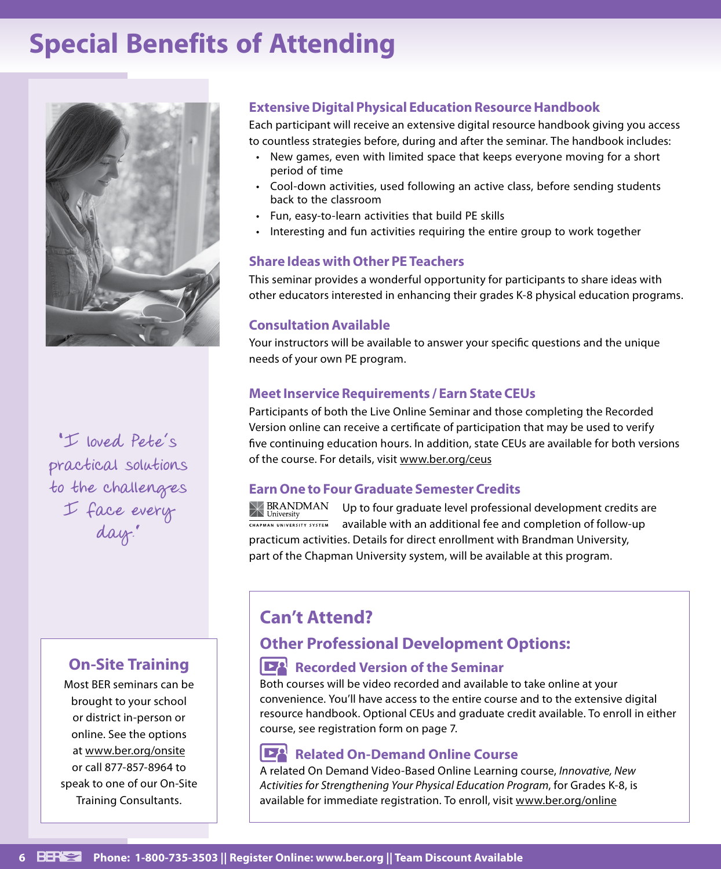## **Special Benefits of Attending**



**"I loved Pete's practical solutions to the challenges I face every day."**

## **On-Site Training**

Most BER seminars can be brought to your school or district in-person or online. See the options at www.ber.org/onsite or call 877-857-8964 to speak to one of our On-Site Training Consultants.

### **Extensive Digital Physical Education Resource Handbook**

Each participant will receive an extensive digital resource handbook giving you access to countless strategies before, during and after the seminar. The handbook includes:

- New games, even with limited space that keeps everyone moving for a short period of time
- Cool-down activities, used following an active class, before sending students back to the classroom
- Fun, easy-to-learn activities that build PE skills
- Interesting and fun activities requiring the entire group to work together

### **Share Ideas with Other PE Teachers**

This seminar provides a wonderful opportunity for participants to share ideas with other educators interested in enhancing their grades K-8 physical education programs.

### **Consultation Available**

Your instructors will be available to answer your specific questions and the unique needs of your own PE program.

### **Meet Inservice Requirements / Earn State CEUs**

Participants of both the Live Online Seminar and those completing the Recorded Version online can receive a certificate of participation that may be used to verify five continuing education hours. In addition, state CEUs are available for both versions of the course. For details, visit www.ber.org/ceus

### **Earn One to Four Graduate Semester Credits**

**BRANDMAN** Up to four graduate level professional development credits are University CHAPMAN UNIVERSITY SYSTEM available with an additional fee and completion of follow-up practicum activities. Details for direct enrollment with Brandman University, part of the Chapman University system, will be available at this program.

## **Can't Attend?**

## **Other Professional Development Options:**

## **Recorded Version of the Seminar**

Both courses will be video recorded and available to take online at your convenience. You'll have access to the entire course and to the extensive digital resource handbook. Optional CEUs and graduate credit available. To enroll in either course, see registration form on page 7.

## **Related On-Demand Online Course**

A related On Demand Video-Based Online Learning course, *Innovative, New Activities for Strengthening Your Physical Education Program*, for Grades K-8, is available for immediate registration. To enroll, visit www.ber.org/online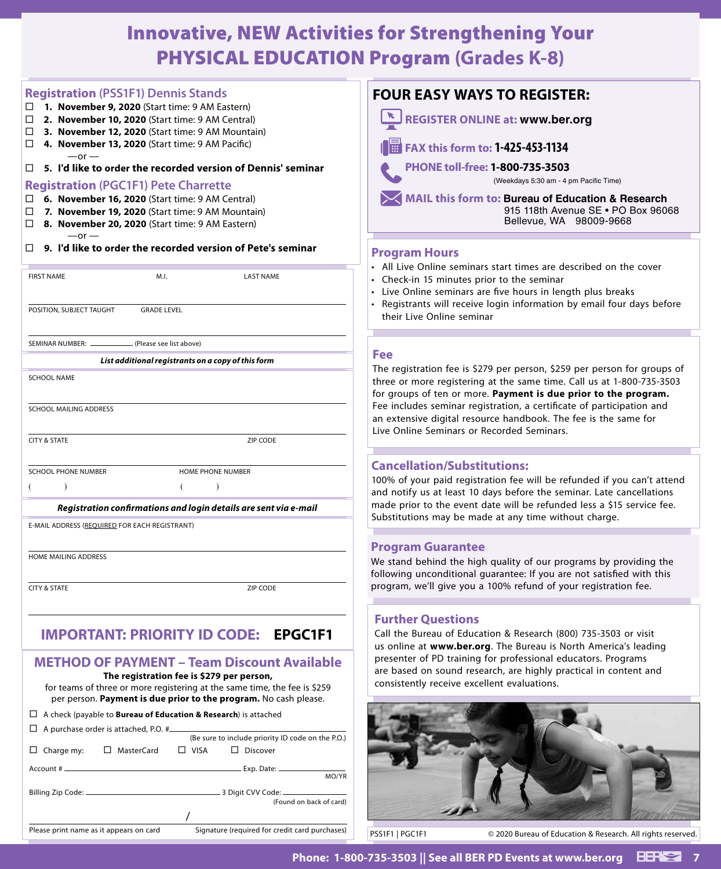## Innovative, NEW Activities for Strengthening Your PHYSICAL EDUCATION Program **(Grades K-8)**

| <b>Registration (PSS1F1) Dennis Stands</b>                |                                                                                                     |                                                                           |  |  |
|-----------------------------------------------------------|-----------------------------------------------------------------------------------------------------|---------------------------------------------------------------------------|--|--|
| □                                                         | 1. November 9, 2020 (Start time: 9 AM Eastern)                                                      |                                                                           |  |  |
| $\Box$<br>2. November 10, 2020 (Start time: 9 AM Central) |                                                                                                     |                                                                           |  |  |
| 3. November 12, 2020 (Start time: 9 AM Mountain)<br>□.    |                                                                                                     |                                                                           |  |  |
| □<br>$-or-$                                               | 4. November 13, 2020 (Start time: 9 AM Pacific)                                                     |                                                                           |  |  |
| □                                                         |                                                                                                     | 5. I'd like to order the recorded version of Dennis' seminar              |  |  |
| <b>Registration (PGC1F1) Pete Charrette</b>               |                                                                                                     |                                                                           |  |  |
| □                                                         | 6. November 16, 2020 (Start time: 9 AM Central)                                                     |                                                                           |  |  |
| □<br>□.                                                   | 7. November 19, 2020 (Start time: 9 AM Mountain)<br>8. November 20, 2020 (Start time: 9 AM Eastern) |                                                                           |  |  |
| $-or-$                                                    |                                                                                                     |                                                                           |  |  |
| □.                                                        |                                                                                                     | 9. I'd like to order the recorded version of Pete's seminar               |  |  |
| <b>FIRST NAME</b>                                         | M.I.                                                                                                | <b>LAST NAME</b>                                                          |  |  |
|                                                           |                                                                                                     |                                                                           |  |  |
| POSITION, SUBJECT TAUGHT                                  | <b>GRADE LEVEL</b>                                                                                  |                                                                           |  |  |
|                                                           |                                                                                                     |                                                                           |  |  |
| SEMINAR NUMBER: .                                         | (Please see list above)                                                                             |                                                                           |  |  |
|                                                           | List additional registrants on a copy of this form                                                  |                                                                           |  |  |
| <b>SCHOOL NAME</b>                                        |                                                                                                     |                                                                           |  |  |
|                                                           |                                                                                                     |                                                                           |  |  |
| <b>SCHOOL MAILING ADDRESS</b>                             |                                                                                                     |                                                                           |  |  |
|                                                           |                                                                                                     |                                                                           |  |  |
| <b>CITY &amp; STATE</b>                                   |                                                                                                     | ZIP CODE                                                                  |  |  |
|                                                           |                                                                                                     |                                                                           |  |  |
| <b>SCHOOL PHONE NUMBER</b>                                |                                                                                                     | <b>HOME PHONE NUMBER</b>                                                  |  |  |
| $\mathcal{L}$                                             | €                                                                                                   | $\mathcal{L}$                                                             |  |  |
|                                                           |                                                                                                     | Registration confirmations and login details are sent via e-mail          |  |  |
| E-MAIL ADDRESS (REQUIRED FOR EACH REGISTRANT)             |                                                                                                     |                                                                           |  |  |
|                                                           |                                                                                                     |                                                                           |  |  |
| <b>HOME MAILING ADDRESS</b>                               |                                                                                                     |                                                                           |  |  |
|                                                           |                                                                                                     |                                                                           |  |  |
| <b>CITY &amp; STATE</b>                                   |                                                                                                     | <b>ZIP CODE</b>                                                           |  |  |
|                                                           |                                                                                                     |                                                                           |  |  |
|                                                           |                                                                                                     |                                                                           |  |  |
|                                                           |                                                                                                     | <b>IMPORTANT: PRIORITY ID CODE: EPGC1F1</b>                               |  |  |
|                                                           |                                                                                                     |                                                                           |  |  |
|                                                           |                                                                                                     | <b>METHOD OF PAYMENT - Team Discount Available</b>                        |  |  |
|                                                           | The registration fee is \$279 per person,                                                           |                                                                           |  |  |
|                                                           |                                                                                                     | for teams of three or more registering at the same time, the fee is \$259 |  |  |
|                                                           |                                                                                                     | per person. Payment is due prior to the program. No cash please.          |  |  |

 A check (payable to **Bureau of Education & Research**) is attached

| $\Box$ A purchase order is attached, P.O. # |                                                                      |
|---------------------------------------------|----------------------------------------------------------------------|
|                                             | (Be sure to include priority ID code on the P.O.)                    |
| □ MasterCard<br>Charge my:                  | $\Box$ Discover<br>$\Box$ VISA                                       |
| $Account # \_\_$                            | $Exp.$ Date: $\_\_\_\_\_\_\_\_\_\_\_\_\_\_\_\_\_\_\_\_\_\_$<br>MO/YR |
|                                             | (Found on back of card)                                              |
|                                             |                                                                      |
| Please print name as it appears on card     | Signature (required for credit card purchases)                       |

## **JR EASY WAYS TO REGISTER:**



**FAX this form to: 1‑425‑453‑1134**

**PHONE toll-free: 1-800-735-3503**

(Weekdays 5:30 am ‑ 4 pm Pacific Time)

**MAIL this form to: Bureau of Education & Research** 915 118th Avenue SE • PO Box 96068 Bellevue, WA 98009‑9668

#### **Program Hours**

- Live Online seminars start times are described on the cover
- eck-in 15 minutes prior to the seminar
- e Online seminars are five hours in length plus breaks
- gistrants will receive login information by email four days before ir Live Online seminar

registration fee is \$279 per person, \$259 per person for groups of or more registering at the same time. Call us at 1-800-735-3503 roups of ten or more. Payment is due prior to the program. ncludes seminar registration, a certificate of participation and tensive digital resource handbook. The fee is the same for Online Seminars or Recorded Seminars.

#### **Cancellation/Substitutions:**

of your paid registration fee will be refunded if you can't attend otify us at least 10 days before the seminar. Late cancellations prior to the event date will be refunded less a \$15 service fee. itutions may be made at any time without charge.

#### **Program Guarantee**

and behind the high quality of our programs by providing the ving unconditional guarantee: If you are not satisfied with this ram, we'll give you a 100% refund of your registration fee.

#### **Further Questions**

the Bureau of Education & Research (800) 735-3503 or visit nline at **www.ber.org**. The Bureau is North America's leading enter of PD training for professional educators. Programs based on sound research, are highly practical in content and istently receive excellent evaluations.



PSS1F1 | PGC1F1 © 2020 Bureau of Education & Research. All rights reserved.